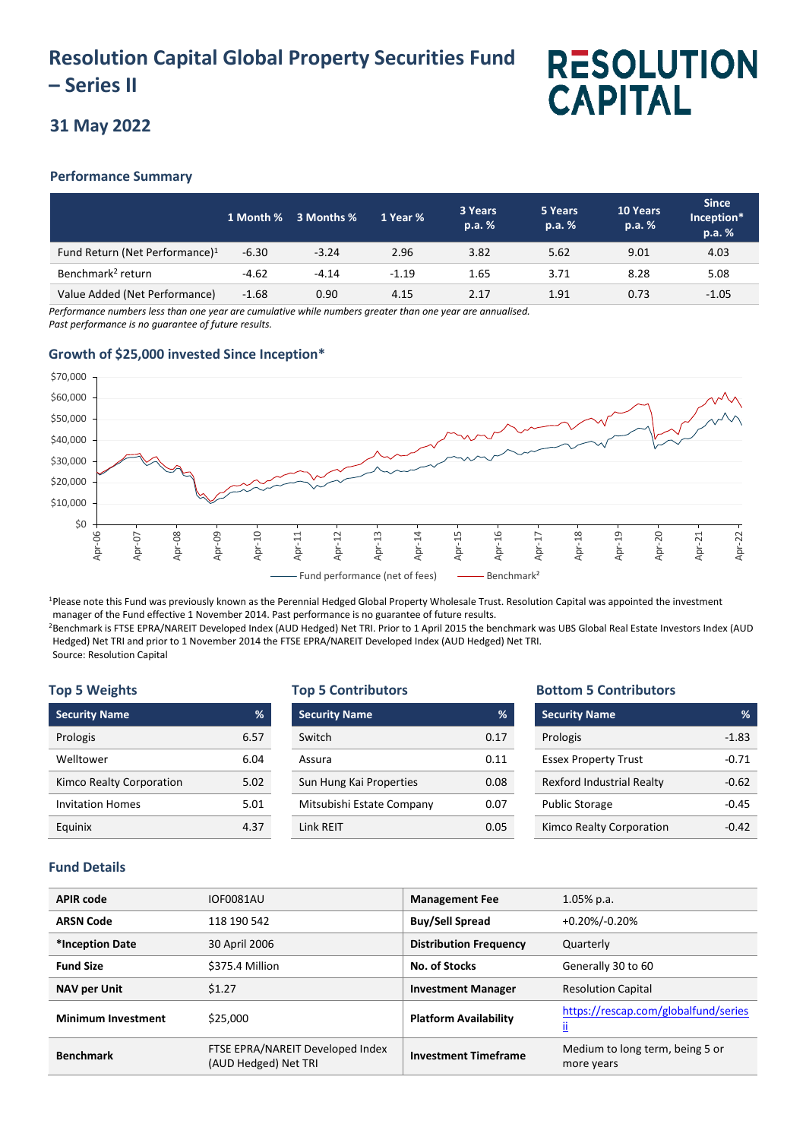# **Resolution Capital Global Property Securities Fund – Series II**

# **RESOLUTION CAPITAL**

## **31 May 2022**

### **Performance Summary**

|                                            |         | 1 Month % 3 Months % | 1 Year % | 3 Years<br>p.a. % | 5 Years<br>p.a. % | 10 Years<br>p.a. % | <b>Since</b><br>Inception*<br>p.a. % |
|--------------------------------------------|---------|----------------------|----------|-------------------|-------------------|--------------------|--------------------------------------|
| Fund Return (Net Performance) <sup>1</sup> | $-6.30$ | $-3.24$              | 2.96     | 3.82              | 5.62              | 9.01               | 4.03                                 |
| Benchmark <sup>2</sup> return              | $-4.62$ | $-4.14$              | $-1.19$  | 1.65              | 3.71              | 8.28               | 5.08                                 |
| Value Added (Net Performance)              | $-1.68$ | 0.90                 | 4.15     | 2.17              | 1.91              | 0.73               | $-1.05$                              |

*Performance numbers less than one year are cumulative while numbers greater than one year are annualised. Past performance is no guarantee of future results.*

## **Growth of \$25,000 invested Since Inception\***



<sup>1</sup>Please note this Fund was previously known as the Perennial Hedged Global Property Wholesale Trust. Resolution Capital was appointed the investment manager of the Fund effective 1 November 2014. Past performance is no guarantee of future results.

<sup>2</sup>Benchmark is FTSE EPRA/NAREIT Developed Index (AUD Hedged) Net TRI. Prior to 1 April 2015 the benchmark was UBS Global Real Estate Investors Index (AUD Hedged) Net TRI and prior to 1 November 2014 the FTSE EPRA/NAREIT Developed Index (AUD Hedged) Net TRI. Source: Resolution Capital

#### **Top 5 Weights**

| <b>Security Name</b>     | %    |
|--------------------------|------|
| Prologis                 | 6.57 |
| Welltower                | 6.04 |
| Kimco Realty Corporation | 5.02 |
| <b>Invitation Homes</b>  | 5.01 |
| Equinix                  | 4.37 |

#### **Top 5 Contributors**

| <b>Security Name</b>      | %    |
|---------------------------|------|
| Switch                    | 0.17 |
| Assura                    | 0.11 |
| Sun Hung Kai Properties   | 0.08 |
| Mitsubishi Estate Company | 0.07 |
| <b>Link RFIT</b>          | 0.05 |

#### **Bottom 5 Contributors**

| <b>Security Name</b>             | %       |
|----------------------------------|---------|
| Prologis                         | $-1.83$ |
| <b>Essex Property Trust</b>      | $-0.71$ |
| <b>Rexford Industrial Realty</b> | $-0.62$ |
| <b>Public Storage</b>            | -0.45   |
| Kimco Realty Corporation         | -Ი 42   |

### **Fund Details**

| <b>APIR code</b>          | <b>IOF0081AU</b>                                         | <b>Management Fee</b>         | $1.05\%$ p.a.                                     |
|---------------------------|----------------------------------------------------------|-------------------------------|---------------------------------------------------|
| <b>ARSN Code</b>          | 118 190 542                                              | <b>Buy/Sell Spread</b>        | $+0.20\%/0.20\%$                                  |
| *Inception Date           | 30 April 2006                                            | <b>Distribution Frequency</b> | Quarterly                                         |
| <b>Fund Size</b>          | \$375.4 Million                                          | No. of Stocks                 | Generally 30 to 60                                |
| <b>NAV per Unit</b>       | \$1.27                                                   | <b>Investment Manager</b>     | <b>Resolution Capital</b>                         |
| <b>Minimum Investment</b> | \$25,000                                                 | <b>Platform Availability</b>  | https://rescap.com/globalfund/series<br><u>ii</u> |
| <b>Benchmark</b>          | FTSE EPRA/NAREIT Developed Index<br>(AUD Hedged) Net TRI | <b>Investment Timeframe</b>   | Medium to long term, being 5 or<br>more years     |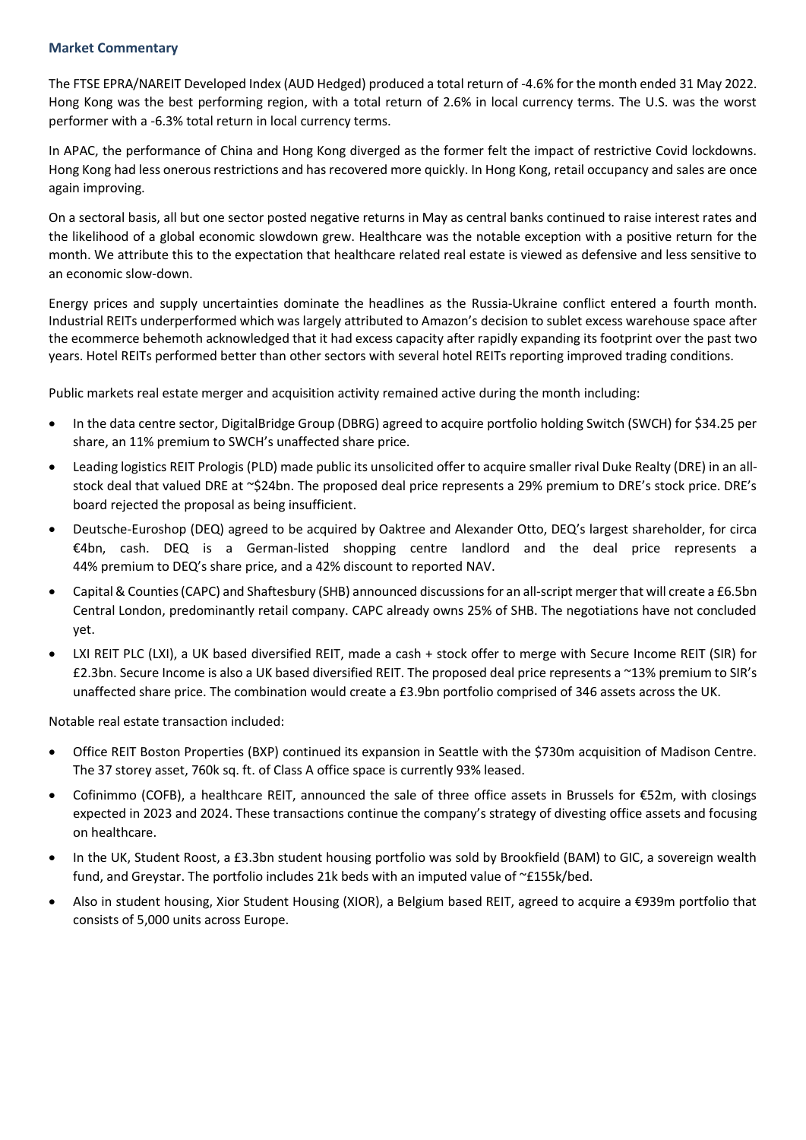#### **Market Commentary**

The FTSE EPRA/NAREIT Developed Index (AUD Hedged) produced a total return of -4.6% for the month ended 31 May 2022. Hong Kong was the best performing region, with a total return of 2.6% in local currency terms. The U.S. was the worst performer with a -6.3% total return in local currency terms.

In APAC, the performance of China and Hong Kong diverged as the former felt the impact of restrictive Covid lockdowns. Hong Kong had less onerous restrictions and has recovered more quickly. In Hong Kong, retail occupancy and sales are once again improving.

On a sectoral basis, all but one sector posted negative returns in May as central banks continued to raise interest rates and the likelihood of a global economic slowdown grew. Healthcare was the notable exception with a positive return for the month. We attribute this to the expectation that healthcare related real estate is viewed as defensive and less sensitive to an economic slow-down.

Energy prices and supply uncertainties dominate the headlines as the Russia-Ukraine conflict entered a fourth month. Industrial REITs underperformed which was largely attributed to Amazon's decision to sublet excess warehouse space after the ecommerce behemoth acknowledged that it had excess capacity after rapidly expanding its footprint over the past two years. Hotel REITs performed better than other sectors with several hotel REITs reporting improved trading conditions.

Public markets real estate merger and acquisition activity remained active during the month including:

- In the data centre sector, DigitalBridge Group (DBRG) agreed to acquire portfolio holding Switch (SWCH) for \$34.25 per share, an 11% premium to SWCH's unaffected share price.
- Leading logistics REIT Prologis (PLD) made public its unsolicited offer to acquire smaller rival Duke Realty (DRE) in an allstock deal that valued DRE at ~\$24bn. The proposed deal price represents a 29% premium to DRE's stock price. DRE's board rejected the proposal as being insufficient.
- Deutsche-Euroshop (DEQ) agreed to be acquired by Oaktree and Alexander Otto, DEQ's largest shareholder, for circa €4bn, cash. DEQ is a German-listed shopping centre landlord and the deal price represents a 44% premium to DEQ's share price, and a 42% discount to reported NAV.
- Capital & Counties (CAPC) and Shaftesbury (SHB) announced discussions for an all-script merger that will create a £6.5bn Central London, predominantly retail company. CAPC already owns 25% of SHB. The negotiations have not concluded yet.
- LXI REIT PLC (LXI), a UK based diversified REIT, made a cash + stock offer to merge with Secure Income REIT (SIR) for £2.3bn. Secure Income is also a UK based diversified REIT. The proposed deal price represents a ~13% premium to SIR's unaffected share price. The combination would create a £3.9bn portfolio comprised of 346 assets across the UK.

Notable real estate transaction included:

- Office REIT Boston Properties (BXP) continued its expansion in Seattle with the \$730m acquisition of Madison Centre. The 37 storey asset, 760k sq. ft. of Class A office space is currently 93% leased.
- Cofinimmo (COFB), a healthcare REIT, announced the sale of three office assets in Brussels for €52m, with closings expected in 2023 and 2024. These transactions continue the company's strategy of divesting office assets and focusing on healthcare.
- In the UK, Student Roost, a £3.3bn student housing portfolio was sold by Brookfield (BAM) to GIC, a sovereign wealth fund, and Greystar. The portfolio includes 21k beds with an imputed value of ~£155k/bed.
- Also in student housing, Xior Student Housing (XIOR), a Belgium based REIT, agreed to acquire a €939m portfolio that consists of 5,000 units across Europe.